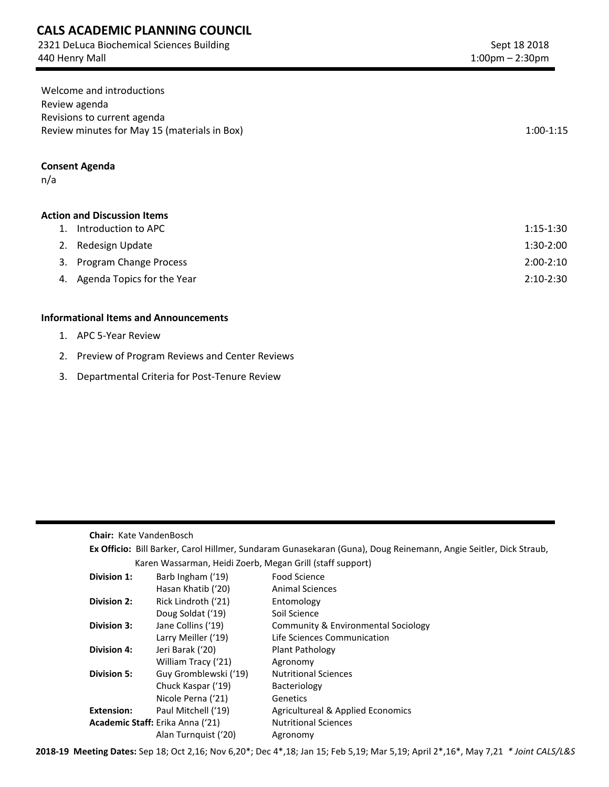# **CALS ACADEMIC PLANNING COUNCIL**

2321 DeLuca Biochemical Sciences Building 440 Henry Mall

| Welcome and introductions                    |             |
|----------------------------------------------|-------------|
| Review agenda                                |             |
| Revisions to current agenda                  |             |
| Review minutes for May 15 (materials in Box) | $1:00-1:15$ |

### **Consent Agenda**

n/a

## **Action and Discussion Items**

| 1. Introduction to APC        | 1:15-1:30   |
|-------------------------------|-------------|
| 2. Redesign Update            | $1:30-2:00$ |
| 3. Program Change Process     | $2:00-2:10$ |
| 4. Agenda Topics for the Year | $2:10-2:30$ |

### **Informational Items and Announcements**

- 1. APC 5-Year Review
- 2. Preview of Program Reviews and Center Reviews
- 3. Departmental Criteria for Post-Tenure Review

#### **Chair:** Kate VandenBosch

| Ex Officio: Bill Barker, Carol Hillmer, Sundaram Gunasekaran (Guna), Doug Reinemann, Angie Seitler, Dick Straub, |                                                           |                                              |  |  |
|------------------------------------------------------------------------------------------------------------------|-----------------------------------------------------------|----------------------------------------------|--|--|
|                                                                                                                  | Karen Wassarman, Heidi Zoerb, Megan Grill (staff support) |                                              |  |  |
| Division 1:                                                                                                      | Barb Ingham ('19)                                         | Food Science                                 |  |  |
|                                                                                                                  | Hasan Khatib ('20)                                        | <b>Animal Sciences</b>                       |  |  |
| Division 2:                                                                                                      | Rick Lindroth ('21)                                       | Entomology                                   |  |  |
|                                                                                                                  | Doug Soldat ('19)                                         | Soil Science                                 |  |  |
| <b>Division 3:</b>                                                                                               | Jane Collins ('19)                                        | Community & Environmental Sociology          |  |  |
|                                                                                                                  | Larry Meiller ('19)                                       | Life Sciences Communication                  |  |  |
| <b>Division 4:</b>                                                                                               | Jeri Barak ('20)                                          | Plant Pathology                              |  |  |
|                                                                                                                  | William Tracy ('21)                                       | Agronomy                                     |  |  |
| <b>Division 5:</b>                                                                                               | Guy Gromblewski ('19)                                     | <b>Nutritional Sciences</b>                  |  |  |
|                                                                                                                  | Chuck Kaspar ('19)                                        | Bacteriology                                 |  |  |
|                                                                                                                  | Nicole Perna ('21)                                        | Genetics                                     |  |  |
| Extension:                                                                                                       | Paul Mitchell ('19)                                       | <b>Agricultureal &amp; Applied Economics</b> |  |  |
| Academic Staff: Erika Anna ('21)                                                                                 |                                                           | <b>Nutritional Sciences</b>                  |  |  |
|                                                                                                                  | Alan Turnguist ('20)                                      | Agronomy                                     |  |  |

**2018-19 Meeting Dates:** Sep 18; Oct 2,16; Nov 6,20\*; Dec 4\*,18; Jan 15; Feb 5,19; Mar 5,19; April 2\*,16\*, May 7,21 *\* Joint CALS/L&S*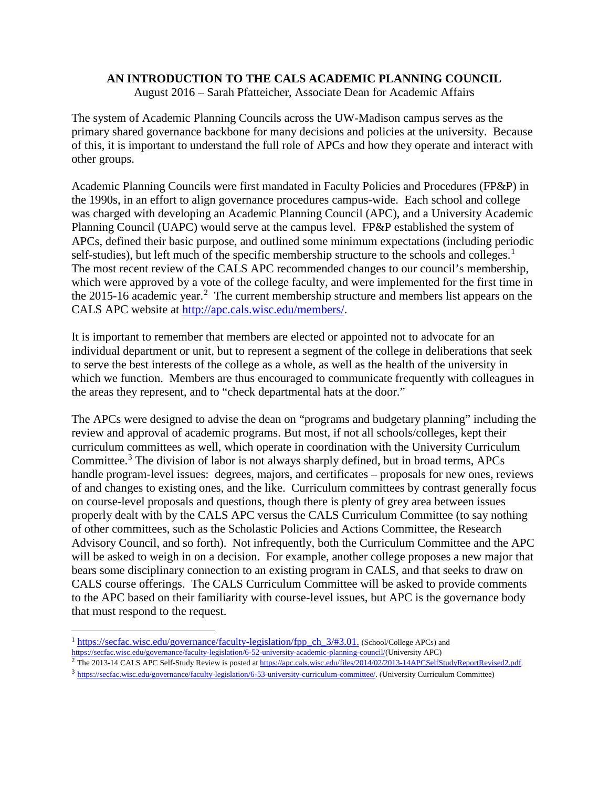# **AN INTRODUCTION TO THE CALS ACADEMIC PLANNING COUNCIL**

August 2016 – Sarah Pfatteicher, Associate Dean for Academic Affairs

The system of Academic Planning Councils across the UW-Madison campus serves as the primary shared governance backbone for many decisions and policies at the university. Because of this, it is important to understand the full role of APCs and how they operate and interact with other groups.

Academic Planning Councils were first mandated in Faculty Policies and Procedures (FP&P) in the 1990s, in an effort to align governance procedures campus-wide. Each school and college was charged with developing an Academic Planning Council (APC), and a University Academic Planning Council (UAPC) would serve at the campus level. FP&P established the system of APCs, defined their basic purpose, and outlined some minimum expectations (including periodic self-studies), but left much of the specific membership structure to the schools and colleges.<sup>[1](#page-1-0)</sup> The most recent review of the CALS APC recommended changes to our council's membership, which were approved by a vote of the college faculty, and were implemented for the first time in the [2](#page-1-1)015-16 academic year.<sup>2</sup> The current membership structure and members list appears on the CALS APC website at [http://apc.cals.wisc.edu/members/.](http://apc.cals.wisc.edu/members/)

It is important to remember that members are elected or appointed not to advocate for an individual department or unit, but to represent a segment of the college in deliberations that seek to serve the best interests of the college as a whole, as well as the health of the university in which we function. Members are thus encouraged to communicate frequently with colleagues in the areas they represent, and to "check departmental hats at the door."

The APCs were designed to advise the dean on "programs and budgetary planning" including the review and approval of academic programs. But most, if not all schools/colleges, kept their curriculum committees as well, which operate in coordination with the University Curriculum Committee.<sup>[3](#page-1-2)</sup> The division of labor is not always sharply defined, but in broad terms, APCs handle program-level issues: degrees, majors, and certificates – proposals for new ones, reviews of and changes to existing ones, and the like. Curriculum committees by contrast generally focus on course-level proposals and questions, though there is plenty of grey area between issues properly dealt with by the CALS APC versus the CALS Curriculum Committee (to say nothing of other committees, such as the Scholastic Policies and Actions Committee, the Research Advisory Council, and so forth). Not infrequently, both the Curriculum Committee and the APC will be asked to weigh in on a decision. For example, another college proposes a new major that bears some disciplinary connection to an existing program in CALS, and that seeks to draw on CALS course offerings. The CALS Curriculum Committee will be asked to provide comments to the APC based on their familiarity with course-level issues, but APC is the governance body that must respond to the request.

<span id="page-1-0"></span> $1 \frac{\text{https://secfac.wisc.edu/governance/faculty-legislation/fpp-ch } 3/#3.01$ . (School/College APCs) and https://secfac.wisc.edu/governance/faculty-legislation/6-52-university-academic-planning-council/(University APC)

<span id="page-1-1"></span><sup>&</sup>lt;sup>2</sup> The 2013-14 CALS APC Self-Study Review is posted a[t https://apc.cals.wisc.edu/files/2014/02/2013-14APCSelfStudyReportRevised2.pdf.](https://apc.cals.wisc.edu/files/2014/02/2013-14APCSelfStudyReportRevised2.pdf)

<span id="page-1-2"></span><sup>3</sup> [https://secfac.wisc.edu/governance/faculty-legislation/6-53-university-curriculum-committee/.](https://secfac.wisc.edu/governance/faculty-legislation/6-53-university-curriculum-committee/) (University Curriculum Committee)